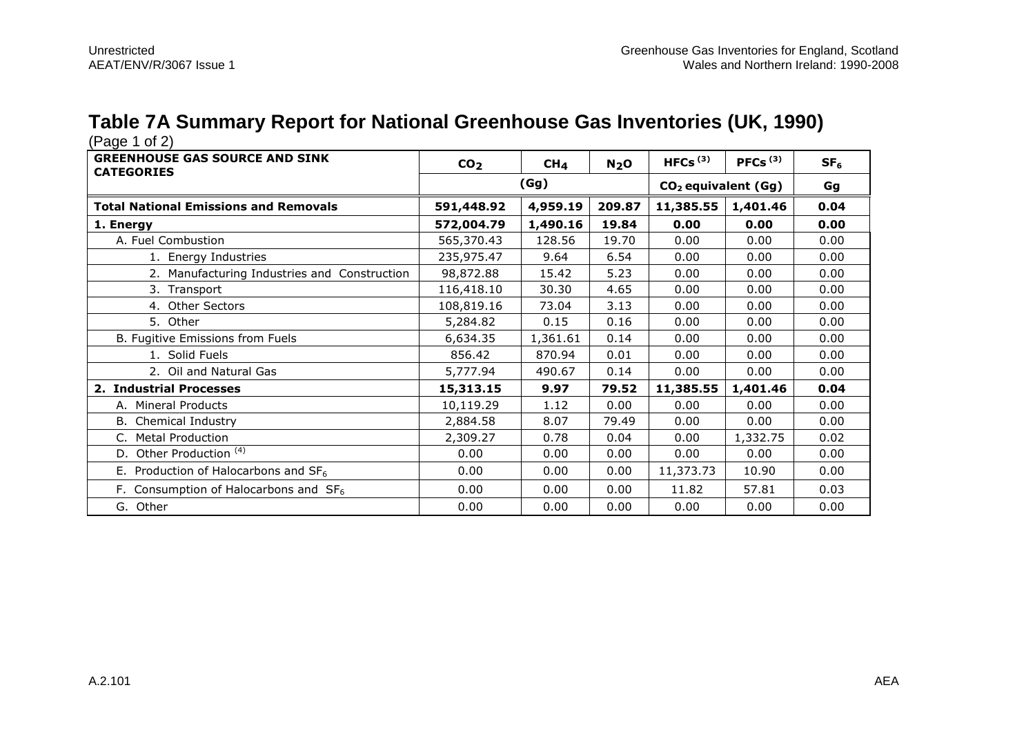### **Table 7A Summary Report for National Greenhouse Gas Inventories (UK, 1990)**

| <b>GREENHOUSE GAS SOURCE AND SINK</b><br><b>CATEGORIES</b> | CO <sub>2</sub> | CH <sub>4</sub> | N <sub>2</sub> O | HFCs $(3)$                      | PFCs $(3)$ | SF <sub>6</sub> |
|------------------------------------------------------------|-----------------|-----------------|------------------|---------------------------------|------------|-----------------|
|                                                            |                 | (Gg)            |                  | CO <sub>2</sub> equivalent (Gg) |            | Gg              |
| <b>Total National Emissions and Removals</b>               | 591,448.92      | 4,959.19        | 209.87           | 11,385.55                       | 1,401.46   | 0.04            |
| 1. Energy                                                  | 572,004.79      | 1,490.16        | 19.84            | 0.00                            | 0.00       | 0.00            |
| A. Fuel Combustion                                         | 565,370.43      | 128.56          | 19.70            | 0.00                            | 0.00       | 0.00            |
| 1. Energy Industries                                       | 235,975.47      | 9.64            | 6.54             | 0.00                            | 0.00       | 0.00            |
| 2. Manufacturing Industries and Construction               | 98,872.88       | 15.42           | 5.23             | 0.00                            | 0.00       | 0.00            |
| 3. Transport                                               | 116,418.10      | 30.30           | 4.65             | 0.00                            | 0.00       | 0.00            |
| 4. Other Sectors                                           | 108,819.16      | 73.04           | 3.13             | 0.00                            | 0.00       | 0.00            |
| 5. Other                                                   | 5,284.82        | 0.15            | 0.16             | 0.00                            | 0.00       | 0.00            |
| B. Fugitive Emissions from Fuels                           | 6,634.35        | 1,361.61        | 0.14             | 0.00                            | 0.00       | 0.00            |
| 1. Solid Fuels                                             | 856.42          | 870.94          | 0.01             | 0.00                            | 0.00       | 0.00            |
| 2. Oil and Natural Gas                                     | 5,777.94        | 490.67          | 0.14             | 0.00                            | 0.00       | 0.00            |
| 2. Industrial Processes                                    | 15,313.15       | 9.97            | 79.52            | 11,385.55                       | 1,401.46   | 0.04            |
| A. Mineral Products                                        | 10,119.29       | 1.12            | 0.00             | 0.00                            | 0.00       | 0.00            |
| B. Chemical Industry                                       | 2,884.58        | 8.07            | 79.49            | 0.00                            | 0.00       | 0.00            |
| <b>Metal Production</b>                                    | 2,309.27        | 0.78            | 0.04             | 0.00                            | 1,332.75   | 0.02            |
| D. Other Production <sup>(4)</sup>                         | 0.00            | 0.00            | 0.00             | 0.00                            | 0.00       | 0.00            |
| E. Production of Halocarbons and $SF6$                     | 0.00            | 0.00            | 0.00             | 11,373.73                       | 10.90      | 0.00            |
| F. Consumption of Halocarbons and $SF6$                    | 0.00            | 0.00            | 0.00             | 11.82                           | 57.81      | 0.03            |
| G. Other                                                   | 0.00            | 0.00            | 0.00             | 0.00                            | 0.00       | 0.00            |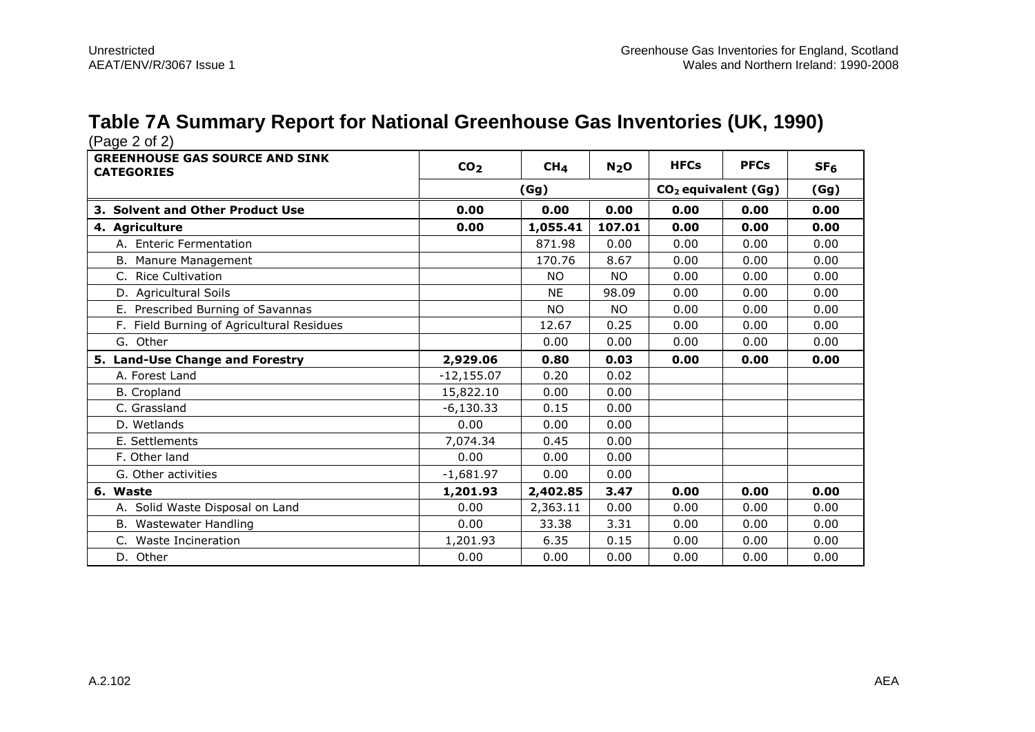#### **Table 7A Summary Report for National Greenhouse Gas Inventories (UK, 1990)**

| (Page 2 of 2)                                              |                 |                 |                  |                       |             |                 |
|------------------------------------------------------------|-----------------|-----------------|------------------|-----------------------|-------------|-----------------|
| <b>GREENHOUSE GAS SOURCE AND SINK</b><br><b>CATEGORIES</b> | CO <sub>2</sub> | CH <sub>4</sub> | N <sub>2</sub> O | <b>HFCs</b>           | <b>PFCs</b> | SF <sub>6</sub> |
|                                                            |                 | (Gg)            |                  | $CO2$ equivalent (Gg) | (Gg)        |                 |
| 3. Solvent and Other Product Use                           | 0.00            | 0.00            | 0.00             | 0.00                  | 0.00        | 0.00            |
| 4. Agriculture                                             | 0.00            | 1,055.41        | 107.01           | 0.00                  | 0.00        | 0.00            |
| A. Enteric Fermentation                                    |                 | 871.98          | 0.00             | 0.00                  | 0.00        | 0.00            |
| B. Manure Management                                       |                 | 170.76          | 8.67             | 0.00                  | 0.00        | 0.00            |
| C. Rice Cultivation                                        |                 | <b>NO</b>       | NO.              | 0.00                  | 0.00        | 0.00            |
| D. Agricultural Soils                                      |                 | <b>NE</b>       | 98.09            | 0.00                  | 0.00        | 0.00            |
| E. Prescribed Burning of Savannas                          |                 | <b>NO</b>       | <b>NO</b>        | 0.00                  | 0.00        | 0.00            |
| F. Field Burning of Agricultural Residues                  |                 | 12.67           | 0.25             | 0.00                  | 0.00        | 0.00            |
| G. Other                                                   |                 | 0.00            | 0.00             | 0.00                  | 0.00        | 0.00            |
| 5. Land-Use Change and Forestry                            | 2,929.06        | 0.80            | 0.03             | 0.00                  | 0.00        | 0.00            |
| A. Forest Land                                             | $-12,155.07$    | 0.20            | 0.02             |                       |             |                 |
| <b>B.</b> Cropland                                         | 15,822.10       | 0.00            | 0.00             |                       |             |                 |
| C. Grassland                                               | $-6,130.33$     | 0.15            | 0.00             |                       |             |                 |
| D. Wetlands                                                | 0.00            | 0.00            | 0.00             |                       |             |                 |
| E. Settlements                                             | 7,074.34        | 0.45            | 0.00             |                       |             |                 |
|                                                            |                 |                 |                  |                       |             |                 |
| F. Other land                                              | 0.00            | 0.00            | 0.00             |                       |             |                 |
| G. Other activities                                        | $-1,681.97$     | 0.00            | 0.00             |                       |             |                 |
| 6. Waste                                                   | 1,201.93        | 2,402.85        | 3.47             | 0.00                  | 0.00        | 0.00            |
| A. Solid Waste Disposal on Land                            | 0.00            | 2,363.11        | 0.00             | 0.00                  | 0.00        | 0.00            |
| B. Wastewater Handling                                     | 0.00            | 33.38           | 3.31             | 0.00                  | 0.00        | 0.00            |
| Waste Incineration<br>$C_{1}$                              | 1,201.93        | 6.35            | 0.15             | 0.00                  | 0.00        | 0.00            |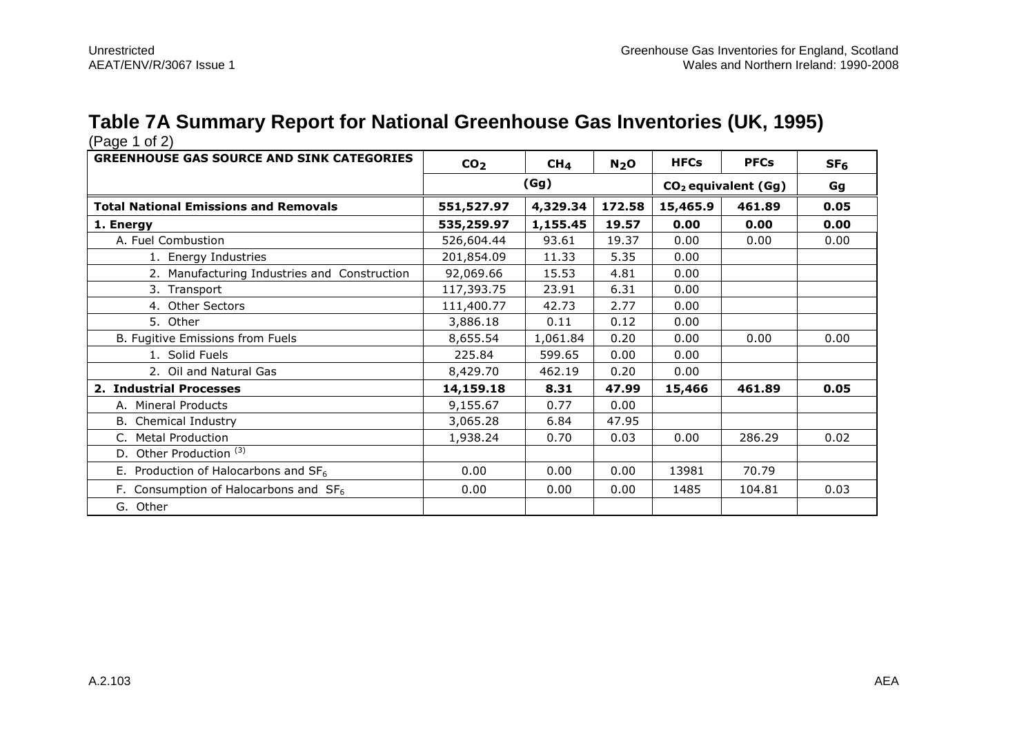### **Table 7A Summary Report for National Greenhouse Gas Inventories (UK, 1995)**

| <b>GREENHOUSE GAS SOURCE AND SINK CATEGORIES</b> | CO <sub>2</sub> | CH <sub>4</sub>                               | N <sub>2</sub> O | <b>HFCs</b> | <b>PFCs</b> | SF <sub>6</sub> |
|--------------------------------------------------|-----------------|-----------------------------------------------|------------------|-------------|-------------|-----------------|
|                                                  |                 | (Gg)<br>CO <sub>2</sub> equivalent (Gg)<br>Gg |                  |             |             |                 |
| <b>Total National Emissions and Removals</b>     | 551,527.97      | 4,329.34                                      | 172.58           | 15,465.9    | 461.89      | 0.05            |
| 1. Energy                                        | 535,259.97      | 1,155.45                                      | 19.57            | 0.00        | 0.00        | 0.00            |
| A. Fuel Combustion                               | 526,604.44      | 93.61                                         | 19.37            | 0.00        | 0.00        | 0.00            |
| 1. Energy Industries                             | 201,854.09      | 11.33                                         | 5.35             | 0.00        |             |                 |
| 2. Manufacturing Industries and Construction     | 92,069.66       | 15.53                                         | 4.81             | 0.00        |             |                 |
| 3. Transport                                     | 117,393.75      | 23.91                                         | 6.31             | 0.00        |             |                 |
| 4. Other Sectors                                 | 111,400.77      | 42.73                                         | 2.77             | 0.00        |             |                 |
| 5. Other                                         | 3,886.18        | 0.11                                          | 0.12             | 0.00        |             |                 |
| B. Fugitive Emissions from Fuels                 | 8,655.54        | 1,061.84                                      | 0.20             | 0.00        | 0.00        | 0.00            |
| 1. Solid Fuels                                   | 225.84          | 599.65                                        | 0.00             | 0.00        |             |                 |
| 2. Oil and Natural Gas                           | 8,429.70        | 462.19                                        | 0.20             | 0.00        |             |                 |
| 2. Industrial Processes                          | 14,159.18       | 8.31                                          | 47.99            | 15,466      | 461.89      | 0.05            |
| A. Mineral Products                              | 9,155.67        | 0.77                                          | 0.00             |             |             |                 |
| B. Chemical Industry                             | 3,065.28        | 6.84                                          | 47.95            |             |             |                 |
| C. Metal Production                              | 1,938.24        | 0.70                                          | 0.03             | 0.00        | 286.29      | 0.02            |
| D. Other Production <sup>(3)</sup>               |                 |                                               |                  |             |             |                 |
| E. Production of Halocarbons and $SF6$           | 0.00            | 0.00                                          | 0.00             | 13981       | 70.79       |                 |
| F. Consumption of Halocarbons and $SF6$          | 0.00            | 0.00                                          | 0.00             | 1485        | 104.81      | 0.03            |
| G. Other                                         |                 |                                               |                  |             |             |                 |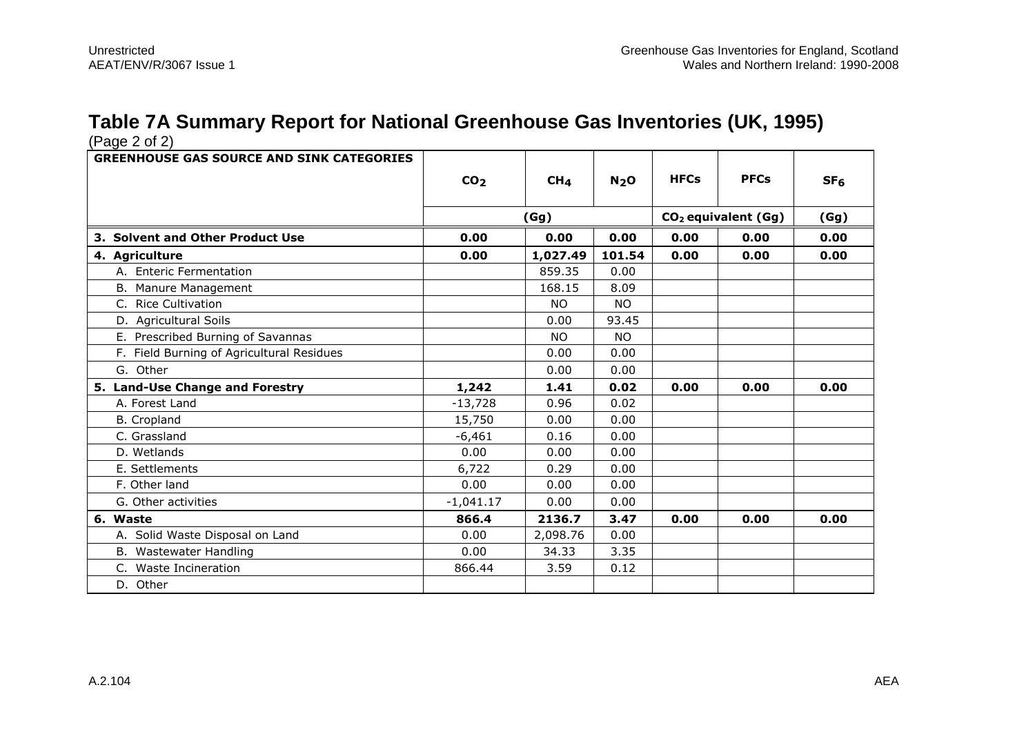# **Table 7A Summary Report for National Greenhouse Gas Inventories (UK, 1995)**

| <b>GREENHOUSE GAS SOURCE AND SINK CATEGORIES</b> |                 |                 |                  |             |                                 |                 |
|--------------------------------------------------|-----------------|-----------------|------------------|-------------|---------------------------------|-----------------|
|                                                  | CO <sub>2</sub> | CH <sub>4</sub> | N <sub>2</sub> O | <b>HFCs</b> | <b>PFCs</b>                     | SF <sub>6</sub> |
|                                                  |                 | (Gg)            |                  |             | CO <sub>2</sub> equivalent (Gg) | (Gg)            |
| 3. Solvent and Other Product Use                 | 0.00            | 0.00            | 0.00             | 0.00        | 0.00                            | 0.00            |
| 4. Agriculture                                   | 0.00            | 1,027.49        | 101.54           | 0.00        | 0.00                            | 0.00            |
| A. Enteric Fermentation                          |                 | 859.35          | 0.00             |             |                                 |                 |
| B. Manure Management                             |                 | 168.15          | 8.09             |             |                                 |                 |
| C. Rice Cultivation                              |                 | <b>NO</b>       | <b>NO</b>        |             |                                 |                 |
| D. Agricultural Soils                            |                 | 0.00            | 93.45            |             |                                 |                 |
| E. Prescribed Burning of Savannas                |                 | <b>NO</b>       | <b>NO</b>        |             |                                 |                 |
| F. Field Burning of Agricultural Residues        |                 | 0.00            | 0.00             |             |                                 |                 |
| G. Other                                         |                 | 0.00            | 0.00             |             |                                 |                 |
| 5. Land-Use Change and Forestry                  | 1,242           | 1.41            | 0.02             | 0.00        | 0.00                            | 0.00            |
| A. Forest Land                                   | $-13,728$       | 0.96            | 0.02             |             |                                 |                 |
| <b>B.</b> Cropland                               | 15,750          | 0.00            | 0.00             |             |                                 |                 |
| C. Grassland                                     | $-6,461$        | 0.16            | 0.00             |             |                                 |                 |
| D. Wetlands                                      | 0.00            | 0.00            | 0.00             |             |                                 |                 |
| E. Settlements                                   | 6,722           | 0.29            | 0.00             |             |                                 |                 |
| F. Other land                                    | 0.00            | 0.00            | 0.00             |             |                                 |                 |
| G. Other activities                              | $-1,041.17$     | 0.00            | 0.00             |             |                                 |                 |
| 6. Waste                                         | 866.4           | 2136.7          | 3.47             | 0.00        | 0.00                            | 0.00            |
| A. Solid Waste Disposal on Land                  | 0.00            | 2,098.76        | 0.00             |             |                                 |                 |
| B. Wastewater Handling                           | 0.00            | 34.33           | 3.35             |             |                                 |                 |
| <b>Waste Incineration</b><br>C.                  | 866.44          | 3.59            | 0.12             |             |                                 |                 |
| D. Other                                         |                 |                 |                  |             |                                 |                 |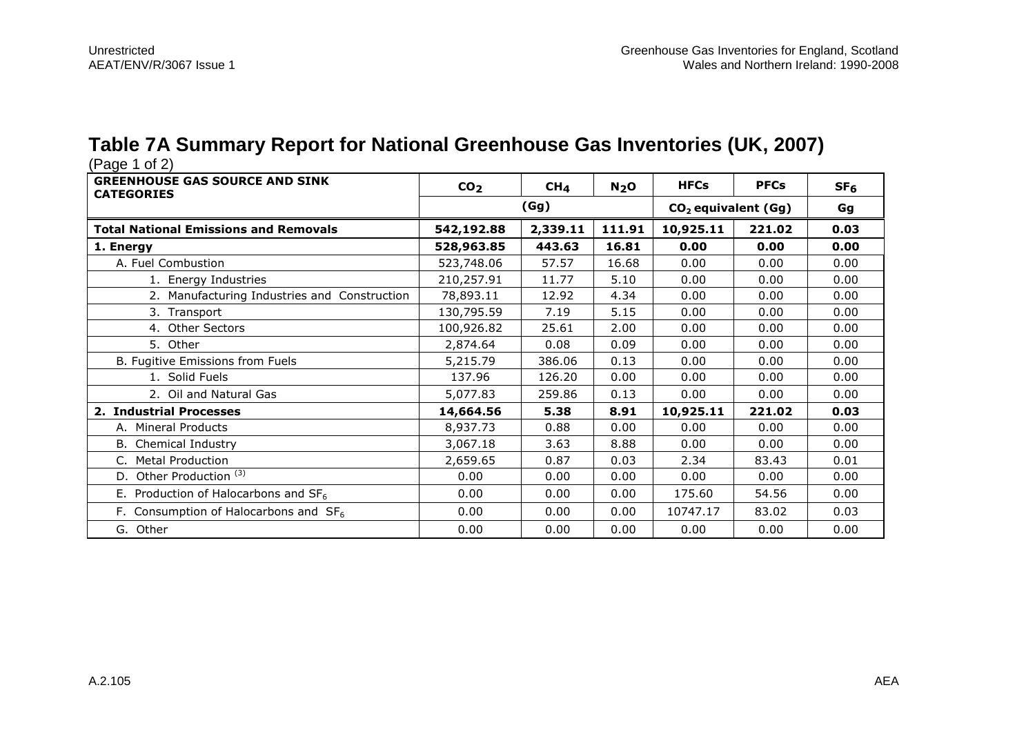### **Table 7A Summary Report for National Greenhouse Gas Inventories (UK, 2007)**

| <b>GREENHOUSE GAS SOURCE AND SINK</b><br><b>CATEGORIES</b> | CO <sub>2</sub> | CH <sub>4</sub> | N <sub>2</sub> O | <b>HFCs</b>                     | <b>PFCs</b> | SF <sub>6</sub> |
|------------------------------------------------------------|-----------------|-----------------|------------------|---------------------------------|-------------|-----------------|
|                                                            |                 | (Gg)            |                  | CO <sub>2</sub> equivalent (Gg) | Gg          |                 |
| <b>Total National Emissions and Removals</b>               | 542,192.88      | 2,339.11        | 111.91           | 10,925.11                       | 221.02      | 0.03            |
| 1. Energy                                                  | 528,963.85      | 443.63          | 16.81            | 0.00                            | 0.00        | 0.00            |
| A. Fuel Combustion                                         | 523,748.06      | 57.57           | 16.68            | 0.00                            | 0.00        | 0.00            |
| 1. Energy Industries                                       | 210,257.91      | 11.77           | 5.10             | 0.00                            | 0.00        | 0.00            |
| 2. Manufacturing Industries and Construction               | 78,893.11       | 12.92           | 4.34             | 0.00                            | 0.00        | 0.00            |
| 3. Transport                                               | 130,795.59      | 7.19            | 5.15             | 0.00                            | 0.00        | 0.00            |
| 4. Other Sectors                                           | 100,926.82      | 25.61           | 2.00             | 0.00                            | 0.00        | 0.00            |
| 5. Other                                                   | 2,874.64        | 0.08            | 0.09             | 0.00                            | 0.00        | 0.00            |
| B. Fugitive Emissions from Fuels                           | 5,215.79        | 386.06          | 0.13             | 0.00                            | 0.00        | 0.00            |
| 1. Solid Fuels                                             | 137.96          | 126.20          | 0.00             | 0.00                            | 0.00        | 0.00            |
| 2. Oil and Natural Gas                                     | 5,077.83        | 259.86          | 0.13             | 0.00                            | 0.00        | 0.00            |
| 2. Industrial Processes                                    | 14,664.56       | 5.38            | 8.91             | 10,925.11                       | 221.02      | 0.03            |
| A. Mineral Products                                        | 8,937.73        | 0.88            | 0.00             | 0.00                            | 0.00        | 0.00            |
| B. Chemical Industry                                       | 3,067.18        | 3.63            | 8.88             | 0.00                            | 0.00        | 0.00            |
| <b>Metal Production</b>                                    | 2,659.65        | 0.87            | 0.03             | 2.34                            | 83.43       | 0.01            |
| Other Production <sup>(3)</sup><br>D.                      | 0.00            | 0.00            | 0.00             | 0.00                            | 0.00        | 0.00            |
| E. Production of Halocarbons and $SF6$                     | 0.00            | 0.00            | 0.00             | 175.60                          | 54.56       | 0.00            |
| F. Consumption of Halocarbons and $SF6$                    | 0.00            | 0.00            | 0.00             | 10747.17                        | 83.02       | 0.03            |
| G. Other                                                   | 0.00            | 0.00            | 0.00             | 0.00                            | 0.00        | 0.00            |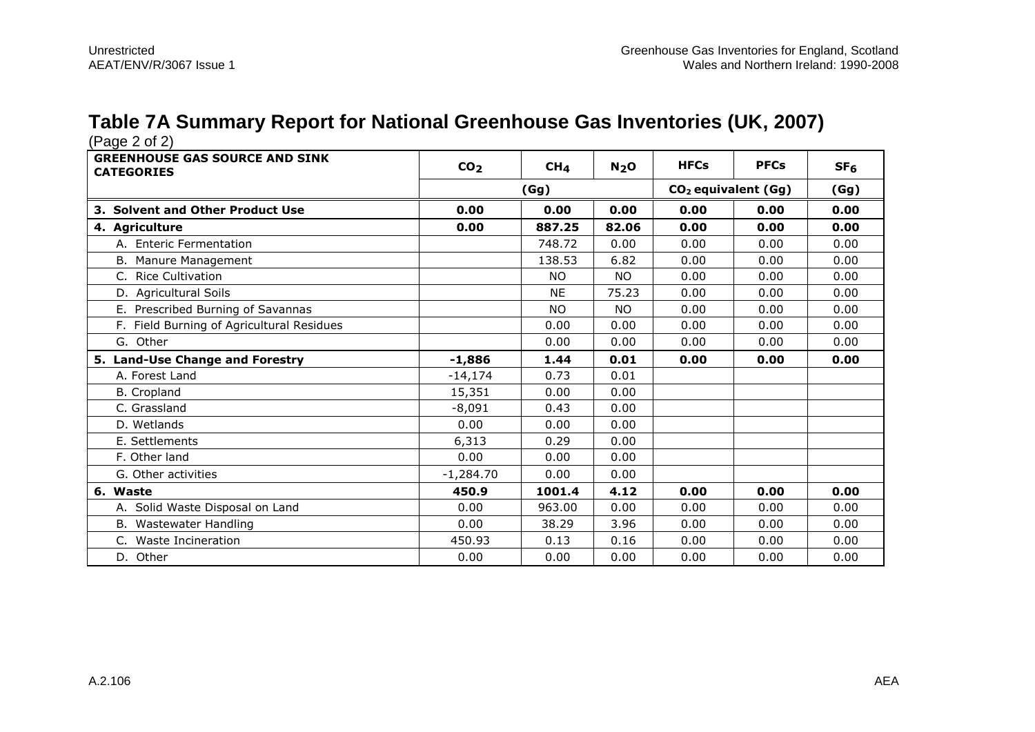# **Table 7A Summary Report for National Greenhouse Gas Inventories (UK, 2007)**

| (Page 2 of 2)                                              |                 |                 |                  |                                 |             |                 |
|------------------------------------------------------------|-----------------|-----------------|------------------|---------------------------------|-------------|-----------------|
| <b>GREENHOUSE GAS SOURCE AND SINK</b><br><b>CATEGORIES</b> | CO <sub>2</sub> | CH <sub>4</sub> | N <sub>2</sub> O | <b>HFCs</b>                     | <b>PFCs</b> | SF <sub>6</sub> |
|                                                            |                 | (Gg)            |                  | CO <sub>2</sub> equivalent (Gg) |             | (Gg)            |
| 3. Solvent and Other Product Use                           | 0.00            | 0.00            | 0.00             | 0.00                            | 0.00        | 0.00            |
| 4. Agriculture                                             | 0.00            | 887.25          | 82.06            | 0.00                            | 0.00        | 0.00            |
| A. Enteric Fermentation                                    |                 | 748.72          | 0.00             | 0.00                            | 0.00        | 0.00            |
| B. Manure Management                                       |                 | 138.53          | 6.82             | 0.00                            | 0.00        | 0.00            |
| C. Rice Cultivation                                        |                 | <b>NO</b>       | NO.              | 0.00                            | 0.00        | 0.00            |
| D. Agricultural Soils                                      |                 | <b>NE</b>       | 75.23            | 0.00                            | 0.00        | 0.00            |
| E. Prescribed Burning of Savannas                          |                 | <b>NO</b>       | <b>NO</b>        | 0.00                            | 0.00        | 0.00            |
| F. Field Burning of Agricultural Residues                  |                 | 0.00            | 0.00             | 0.00                            | 0.00        | 0.00            |
| G. Other                                                   |                 | 0.00            | 0.00             | 0.00                            | 0.00        | 0.00            |
| 5. Land-Use Change and Forestry                            | $-1,886$        | 1.44            | 0.01             | 0.00                            | 0.00        | 0.00            |
| A. Forest Land                                             | $-14,174$       | 0.73            | 0.01             |                                 |             |                 |
|                                                            |                 |                 |                  |                                 |             |                 |
| <b>B.</b> Cropland                                         | 15,351          | 0.00            | 0.00             |                                 |             |                 |
| C. Grassland                                               | $-8,091$        | 0.43            | 0.00             |                                 |             |                 |
| D. Wetlands                                                | 0.00            | 0.00            | 0.00             |                                 |             |                 |
| E. Settlements                                             | 6,313           | 0.29            | 0.00             |                                 |             |                 |
| F. Other land                                              | 0.00            | 0.00            | 0.00             |                                 |             |                 |
| G. Other activities                                        | $-1,284.70$     | 0.00            | 0.00             |                                 |             |                 |
| 6. Waste                                                   | 450.9           | 1001.4          | 4.12             | 0.00                            | 0.00        | 0.00            |
| A. Solid Waste Disposal on Land                            | 0.00            | 963.00          | 0.00             | 0.00                            | 0.00        | 0.00            |
| B. Wastewater Handling                                     | 0.00            | 38.29           | 3.96             | 0.00                            | 0.00        | 0.00            |
| C. Waste Incineration                                      | 450.93          | 0.13            | 0.16             | 0.00                            | 0.00        | 0.00            |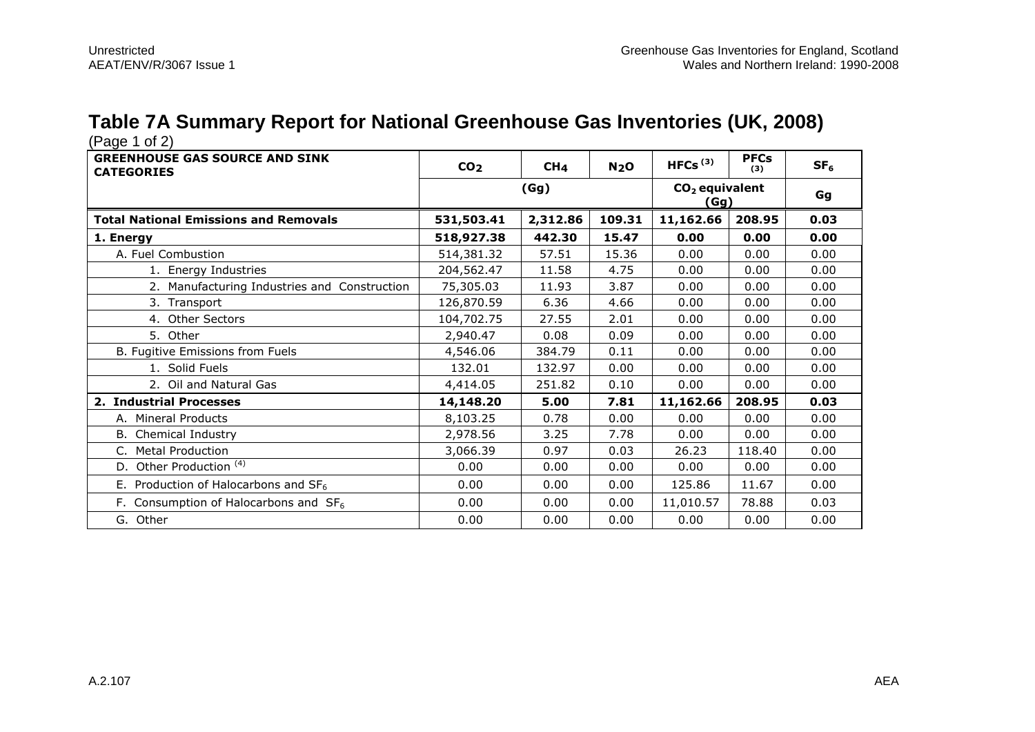# **Table 7A Summary Report for National Greenhouse Gas Inventories (UK, 2008)**

| <b>GREENHOUSE GAS SOURCE AND SINK</b><br><b>CATEGORIES</b> | CO <sub>2</sub> | CH <sub>4</sub> | N <sub>2</sub> O | HFCs $(3)$               | <b>PFCs</b><br>(3) | SF <sub>6</sub> |
|------------------------------------------------------------|-----------------|-----------------|------------------|--------------------------|--------------------|-----------------|
|                                                            | (Gg)            |                 |                  | $CO2$ equivalent<br>(Gg) | Gg                 |                 |
| <b>Total National Emissions and Removals</b>               | 531,503.41      | 2,312.86        | 109.31           | 11,162.66                | 208.95             | 0.03            |
| 1. Energy                                                  | 518,927.38      | 442.30          | 15.47            | 0.00                     | 0.00               | 0.00            |
| A. Fuel Combustion                                         | 514,381.32      | 57.51           | 15.36            | 0.00                     | 0.00               | 0.00            |
| 1. Energy Industries                                       | 204,562.47      | 11.58           | 4.75             | 0.00                     | 0.00               | 0.00            |
| 2. Manufacturing Industries and Construction               | 75,305.03       | 11.93           | 3.87             | 0.00                     | 0.00               | 0.00            |
| 3. Transport                                               | 126,870.59      | 6.36            | 4.66             | 0.00                     | 0.00               | 0.00            |
| 4. Other Sectors                                           | 104,702.75      | 27.55           | 2.01             | 0.00                     | 0.00               | 0.00            |
| 5. Other                                                   | 2,940.47        | 0.08            | 0.09             | 0.00                     | 0.00               | 0.00            |
| B. Fugitive Emissions from Fuels                           | 4,546.06        | 384.79          | 0.11             | 0.00                     | 0.00               | 0.00            |
| 1. Solid Fuels                                             | 132.01          | 132.97          | 0.00             | 0.00                     | 0.00               | 0.00            |
| 2. Oil and Natural Gas                                     | 4,414.05        | 251.82          | 0.10             | 0.00                     | 0.00               | 0.00            |
| 2. Industrial Processes                                    | 14,148.20       | 5.00            | 7.81             | 11,162.66                | 208.95             | 0.03            |
| A. Mineral Products                                        | 8,103.25        | 0.78            | 0.00             | 0.00                     | 0.00               | 0.00            |
| <b>B.</b> Chemical Industry                                | 2,978.56        | 3.25            | 7.78             | 0.00                     | 0.00               | 0.00            |
| C. Metal Production                                        | 3,066.39        | 0.97            | 0.03             | 26.23                    | 118.40             | 0.00            |
| D. Other Production <sup>(4)</sup>                         | 0.00            | 0.00            | 0.00             | 0.00                     | 0.00               | 0.00            |
| E. Production of Halocarbons and $SF6$                     | 0.00            | 0.00            | 0.00             | 125.86                   | 11.67              | 0.00            |
| F. Consumption of Halocarbons and $SF6$                    | 0.00            | 0.00            | 0.00             | 11,010.57                | 78.88              | 0.03            |
| G. Other                                                   | 0.00            | 0.00            | 0.00             | 0.00                     | 0.00               | 0.00            |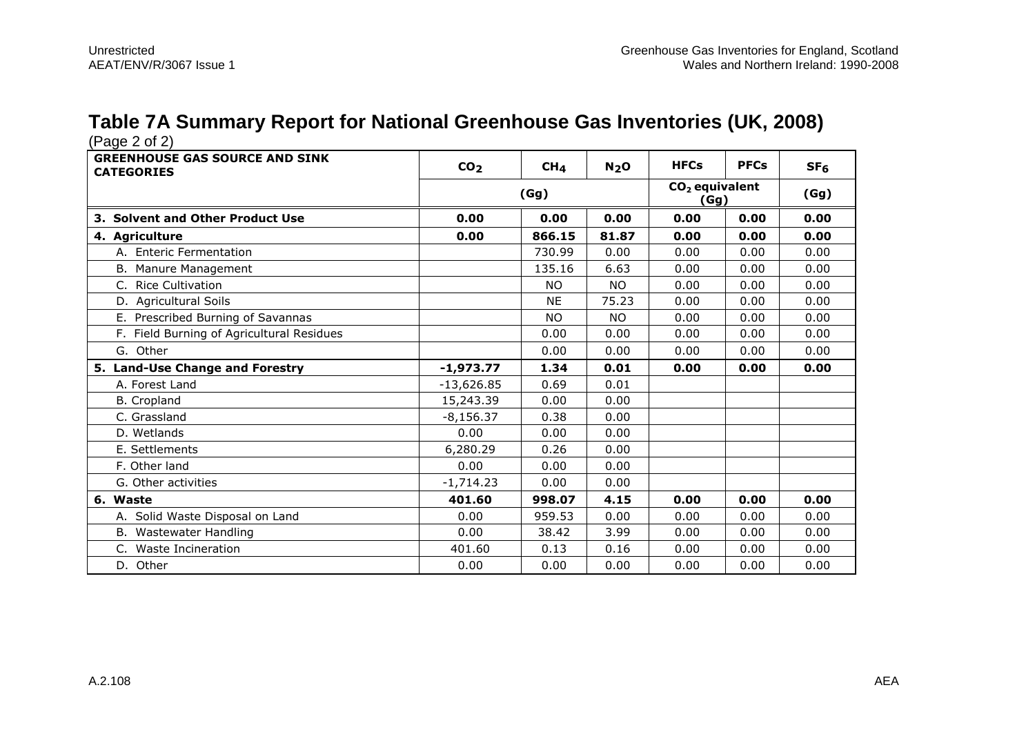#### **Table 7A Summary Report for National Greenhouse Gas Inventories (UK, 2008)**

| (Faye 2 UI 2)                                              |                 |                 |                  |             |                                  |                 |  |
|------------------------------------------------------------|-----------------|-----------------|------------------|-------------|----------------------------------|-----------------|--|
| <b>GREENHOUSE GAS SOURCE AND SINK</b><br><b>CATEGORIES</b> | CO <sub>2</sub> | CH <sub>4</sub> | N <sub>2</sub> O | <b>HFCs</b> | <b>PFCs</b>                      | SF <sub>6</sub> |  |
|                                                            | (Gg)            |                 |                  |             | $CO2$ equivalent<br>(Gg)<br>(Gg) |                 |  |
| 3. Solvent and Other Product Use                           | 0.00            | 0.00            | 0.00             | 0.00        | 0.00                             | 0.00            |  |
| 4. Agriculture                                             | 0.00            | 866.15          | 81.87            | 0.00        | 0.00                             | 0.00            |  |
| A. Enteric Fermentation                                    |                 | 730.99          | 0.00             | 0.00        | 0.00                             | 0.00            |  |
| B. Manure Management                                       |                 | 135.16          | 6.63             | 0.00        | 0.00                             | 0.00            |  |
| C. Rice Cultivation                                        |                 | <b>NO</b>       | <b>NO</b>        | 0.00        | 0.00                             | 0.00            |  |
| D. Agricultural Soils                                      |                 | <b>NE</b>       | 75.23            | 0.00        | 0.00                             | 0.00            |  |
| E. Prescribed Burning of Savannas                          |                 | <b>NO</b>       | <b>NO</b>        | 0.00        | 0.00                             | 0.00            |  |
| F. Field Burning of Agricultural Residues                  |                 | 0.00            | 0.00             | 0.00        | 0.00                             | 0.00            |  |
| G. Other                                                   |                 | 0.00            | 0.00             | 0.00        | 0.00                             | 0.00            |  |
| 5. Land-Use Change and Forestry                            | $-1,973.77$     | 1.34            | 0.01             | 0.00        | 0.00                             | 0.00            |  |
| A. Forest Land                                             | $-13,626.85$    | 0.69            | 0.01             |             |                                  |                 |  |
| <b>B.</b> Cropland                                         | 15,243.39       | 0.00            | 0.00             |             |                                  |                 |  |
| C. Grassland                                               | $-8,156.37$     | 0.38            | 0.00             |             |                                  |                 |  |
| D. Wetlands                                                | 0.00            | 0.00            | 0.00             |             |                                  |                 |  |
| E. Settlements                                             | 6,280.29        | 0.26            | 0.00             |             |                                  |                 |  |
| F. Other land                                              | 0.00            | 0.00            | 0.00             |             |                                  |                 |  |
| G. Other activities                                        | $-1,714.23$     | 0.00            | 0.00             |             |                                  |                 |  |
| 6. Waste                                                   | 401.60          | 998.07          | 4.15             | 0.00        | 0.00                             | 0.00            |  |
| A. Solid Waste Disposal on Land                            | 0.00            | 959.53          | 0.00             | 0.00        | 0.00                             | 0.00            |  |
| B. Wastewater Handling                                     | 0.00            | 38.42           | 3.99             | 0.00        | 0.00                             | 0.00            |  |
| C. Waste Incineration                                      | 401.60          | 0.13            | 0.16             | 0.00        | 0.00                             | 0.00            |  |
| D. Other                                                   | 0.00            | 0.00            | 0.00             | 0.00        | 0.00                             | 0.00            |  |